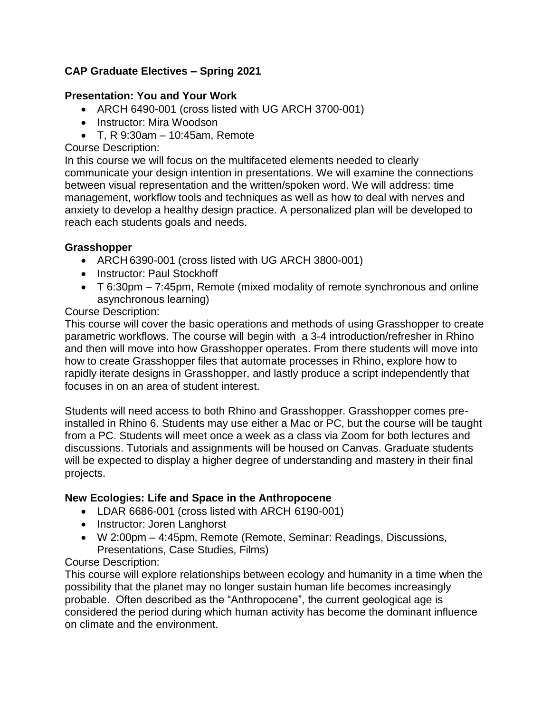# **CAP Graduate Electives – Spring 2021**

### **Presentation: You and Your Work**

- ARCH 6490-001 (cross listed with UG ARCH 3700-001)
- Instructor: Mira Woodson
- $\bullet$  T, R 9:30am 10:45am, Remote

#### Course Description:

In this course we will focus on the multifaceted elements needed to clearly communicate your design intention in presentations. We will examine the connections between visual representation and the written/spoken word. We will address: time management, workflow tools and techniques as well as how to deal with nerves and anxiety to develop a healthy design practice. A personalized plan will be developed to reach each students goals and needs.

#### **Grasshopper**

- ARCH 6390-001 (cross listed with UG ARCH 3800-001)
- Instructor: Paul Stockhoff
- T 6:30pm 7:45pm, Remote (mixed modality of remote synchronous and online asynchronous learning)

#### Course Description:

This course will cover the basic operations and methods of using Grasshopper to create parametric workflows. The course will begin with a 3-4 introduction/refresher in Rhino and then will move into how Grasshopper operates. From there students will move into how to create Grasshopper files that automate processes in Rhino, explore how to rapidly iterate designs in Grasshopper, and lastly produce a script independently that focuses in on an area of student interest.

Students will need access to both Rhino and Grasshopper. Grasshopper comes preinstalled in Rhino 6. Students may use either a Mac or PC, but the course will be taught from a PC. Students will meet once a week as a class via Zoom for both lectures and discussions. Tutorials and assignments will be housed on Canvas. Graduate students will be expected to display a higher degree of understanding and mastery in their final projects.

#### **New Ecologies: Life and Space in the Anthropocene**

- LDAR 6686-001 (cross listed with ARCH 6190-001)
- Instructor: Joren Langhorst
- W 2:00pm 4:45pm, Remote (Remote, Seminar: Readings, Discussions, Presentations, Case Studies, Films)

### Course Description:

This course will explore relationships between ecology and humanity in a time when the possibility that the planet may no longer sustain human life becomes increasingly probable. Often described as the "Anthropocene", the current geological age is considered the period during which human activity has become the dominant influence on climate and the environment.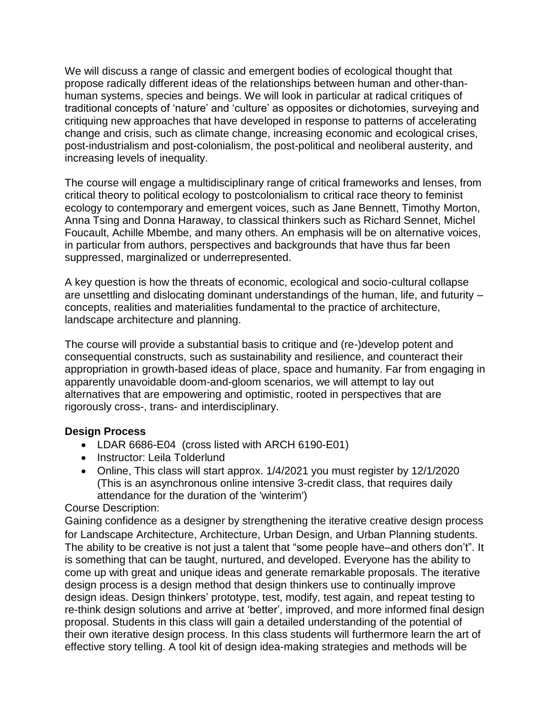We will discuss a range of classic and emergent bodies of ecological thought that propose radically different ideas of the relationships between human and other-thanhuman systems, species and beings. We will look in particular at radical critiques of traditional concepts of 'nature' and 'culture' as opposites or dichotomies, surveying and critiquing new approaches that have developed in response to patterns of accelerating change and crisis, such as climate change, increasing economic and ecological crises, post-industrialism and post-colonialism, the post-political and neoliberal austerity, and increasing levels of inequality.

The course will engage a multidisciplinary range of critical frameworks and lenses, from critical theory to political ecology to postcolonialism to critical race theory to feminist ecology to contemporary and emergent voices, such as Jane Bennett, Timothy Morton, Anna Tsing and Donna Haraway, to classical thinkers such as Richard Sennet, Michel Foucault, Achille Mbembe, and many others. An emphasis will be on alternative voices, in particular from authors, perspectives and backgrounds that have thus far been suppressed, marginalized or underrepresented.

A key question is how the threats of economic, ecological and socio-cultural collapse are unsettling and dislocating dominant understandings of the human, life, and futurity – concepts, realities and materialities fundamental to the practice of architecture, landscape architecture and planning.

The course will provide a substantial basis to critique and (re-)develop potent and consequential constructs, such as sustainability and resilience, and counteract their appropriation in growth-based ideas of place, space and humanity. Far from engaging in apparently unavoidable doom-and-gloom scenarios, we will attempt to lay out alternatives that are empowering and optimistic, rooted in perspectives that are rigorously cross-, trans- and interdisciplinary.

#### **Design Process**

- LDAR 6686-E04 (cross listed with ARCH 6190-E01)
- Instructor: Leila Tolderlund
- Online, This class will start approx. 1/4/2021 you must register by 12/1/2020 (This is an asynchronous online intensive 3-credit class, that requires daily attendance for the duration of the 'winterim')

### Course Description:

Gaining confidence as a designer by strengthening the iterative creative design process for Landscape Architecture, Architecture, Urban Design, and Urban Planning students. The ability to be creative is not just a talent that "some people have–and others don't". It is something that can be taught, nurtured, and developed. Everyone has the ability to come up with great and unique ideas and generate remarkable proposals. The iterative design process is a design method that design thinkers use to continually improve design ideas. Design thinkers' prototype, test, modify, test again, and repeat testing to re-think design solutions and arrive at 'better', improved, and more informed final design proposal. Students in this class will gain a detailed understanding of the potential of their own iterative design process. In this class students will furthermore learn the art of effective story telling. A tool kit of design idea-making strategies and methods will be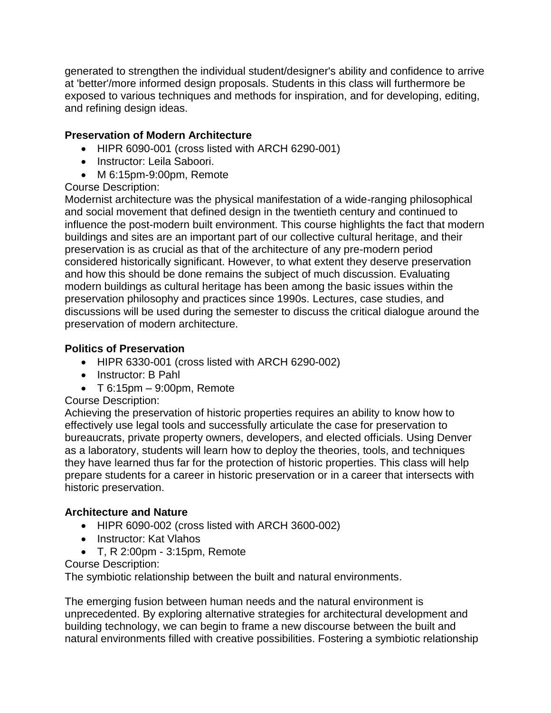generated to strengthen the individual student/designer's ability and confidence to arrive at 'better'/more informed design proposals. Students in this class will furthermore be exposed to various techniques and methods for inspiration, and for developing, editing, and refining design ideas.

## **Preservation of Modern Architecture**

- HIPR 6090-001 (cross listed with ARCH 6290-001)
- Instructor: Leila Saboori.
- M 6:15pm-9:00pm, Remote

Course Description:

Modernist architecture was the physical manifestation of a wide-ranging philosophical and social movement that defined design in the twentieth century and continued to influence the post-modern built environment. This course highlights the fact that modern buildings and sites are an important part of our collective cultural heritage, and their preservation is as crucial as that of the architecture of any pre-modern period considered historically significant. However, to what extent they deserve preservation and how this should be done remains the subject of much discussion. Evaluating modern buildings as cultural heritage has been among the basic issues within the preservation philosophy and practices since 1990s. Lectures, case studies, and discussions will be used during the semester to discuss the critical dialogue around the preservation of modern architecture.

# **Politics of Preservation**

- HIPR 6330-001 (cross listed with ARCH 6290-002)
- Instructor: B Pahl
- $\bullet$  T 6:15pm 9:00pm, Remote

### Course Description:

Achieving the preservation of historic properties requires an ability to know how to effectively use legal tools and successfully articulate the case for preservation to bureaucrats, private property owners, developers, and elected officials. Using Denver as a laboratory, students will learn how to deploy the theories, tools, and techniques they have learned thus far for the protection of historic properties. This class will help prepare students for a career in historic preservation or in a career that intersects with historic preservation.

# **Architecture and Nature**

- HIPR 6090-002 (cross listed with ARCH 3600-002)
- Instructor: Kat Vlahos
- T, R 2:00pm 3:15pm, Remote

### Course Description:

The symbiotic relationship between the built and natural environments.

The emerging fusion between human needs and the natural environment is unprecedented. By exploring alternative strategies for architectural development and building technology, we can begin to frame a new discourse between the built and natural environments filled with creative possibilities. Fostering a symbiotic relationship